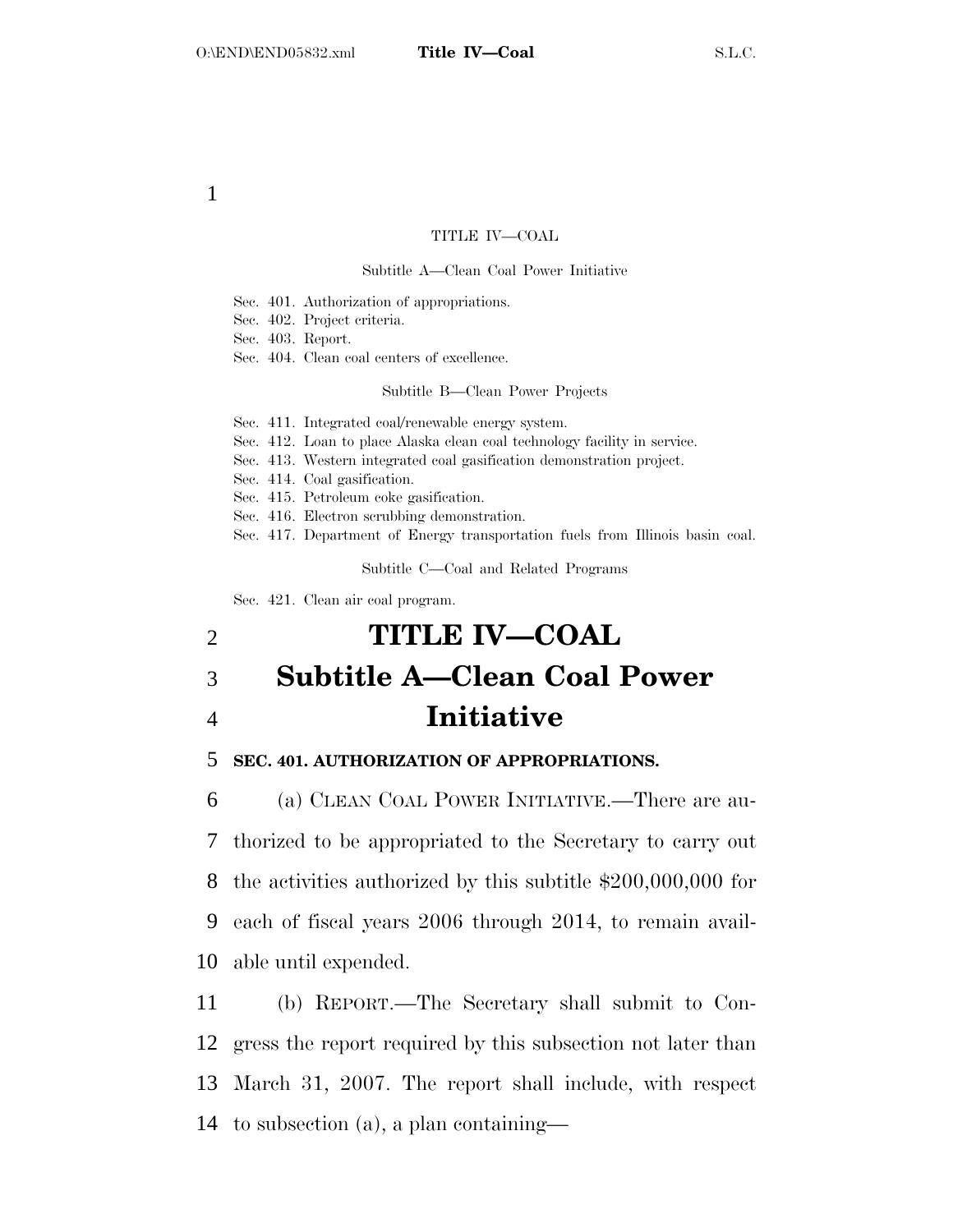### TITLE IV—COAL

### Subtitle A—Clean Coal Power Initiative

Sec. 401. Authorization of appropriations.

Sec. 402. Project criteria.

Sec. 403. Report.

Sec. 404. Clean coal centers of excellence.

Subtitle B—Clean Power Projects

Sec. 411. Integrated coal/renewable energy system.

Sec. 412. Loan to place Alaska clean coal technology facility in service.

Sec. 413. Western integrated coal gasification demonstration project.

Sec. 414. Coal gasification.

Sec. 415. Petroleum coke gasification.

Sec. 416. Electron scrubbing demonstration.

Sec. 417. Department of Energy transportation fuels from Illinois basin coal.

Subtitle C—Coal and Related Programs

Sec. 421. Clean air coal program.

# 2 **TITLE IV—COAL**  3 **Subtitle A—Clean Coal Power**  4 **Initiative**

### 5 **SEC. 401. AUTHORIZATION OF APPROPRIATIONS.**

 (a) CLEAN COAL POWER INITIATIVE.—There are au- thorized to be appropriated to the Secretary to carry out the activities authorized by this subtitle \$200,000,000 for each of fiscal years 2006 through 2014, to remain avail-able until expended.

 (b) REPORT.—The Secretary shall submit to Con- gress the report required by this subsection not later than March 31, 2007. The report shall include, with respect to subsection (a), a plan containing—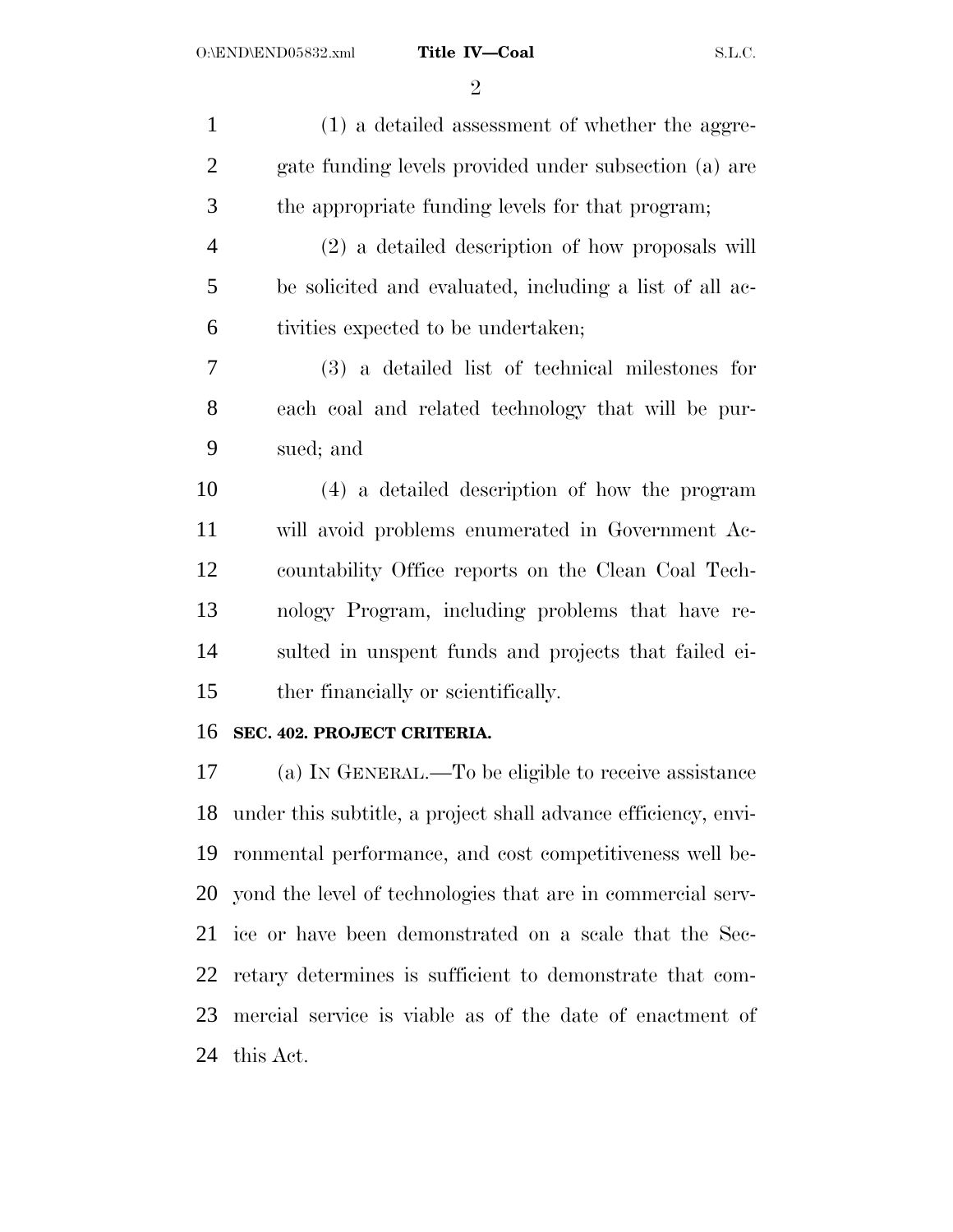$\overline{2}$ 

| $\mathbf{1}$   | (1) a detailed assessment of whether the aggre-                |
|----------------|----------------------------------------------------------------|
| $\overline{2}$ | gate funding levels provided under subsection (a) are          |
| 3              | the appropriate funding levels for that program;               |
| $\overline{4}$ | (2) a detailed description of how proposals will               |
| 5              | be solicited and evaluated, including a list of all ac-        |
| 6              | tivities expected to be undertaken;                            |
| 7              | (3) a detailed list of technical milestones for                |
| 8              | each coal and related technology that will be pur-             |
| 9              | sued; and                                                      |
| 10             | (4) a detailed description of how the program                  |
| 11             | will avoid problems enumerated in Government Ac-               |
| 12             | countability Office reports on the Clean Coal Tech-            |
| 13             | nology Program, including problems that have re-               |
| 14             | sulted in unspent funds and projects that failed ei-           |
| 15             | ther financially or scientifically.                            |
| 16             | SEC. 402. PROJECT CRITERIA.                                    |
| 17             | (a) IN GENERAL.—To be eligible to receive assistance           |
| 18             | under this subtitle, a project shall advance efficiency, envi- |
| 19             | ronmental performance, and cost competitiveness well be-       |
| 20             | yond the level of technologies that are in commercial serv-    |
| 21             | ice or have been demonstrated on a scale that the Sec-         |
| 22             | retary determines is sufficient to demonstrate that com-       |
| 23             | mercial service is viable as of the date of enactment of       |

this Act.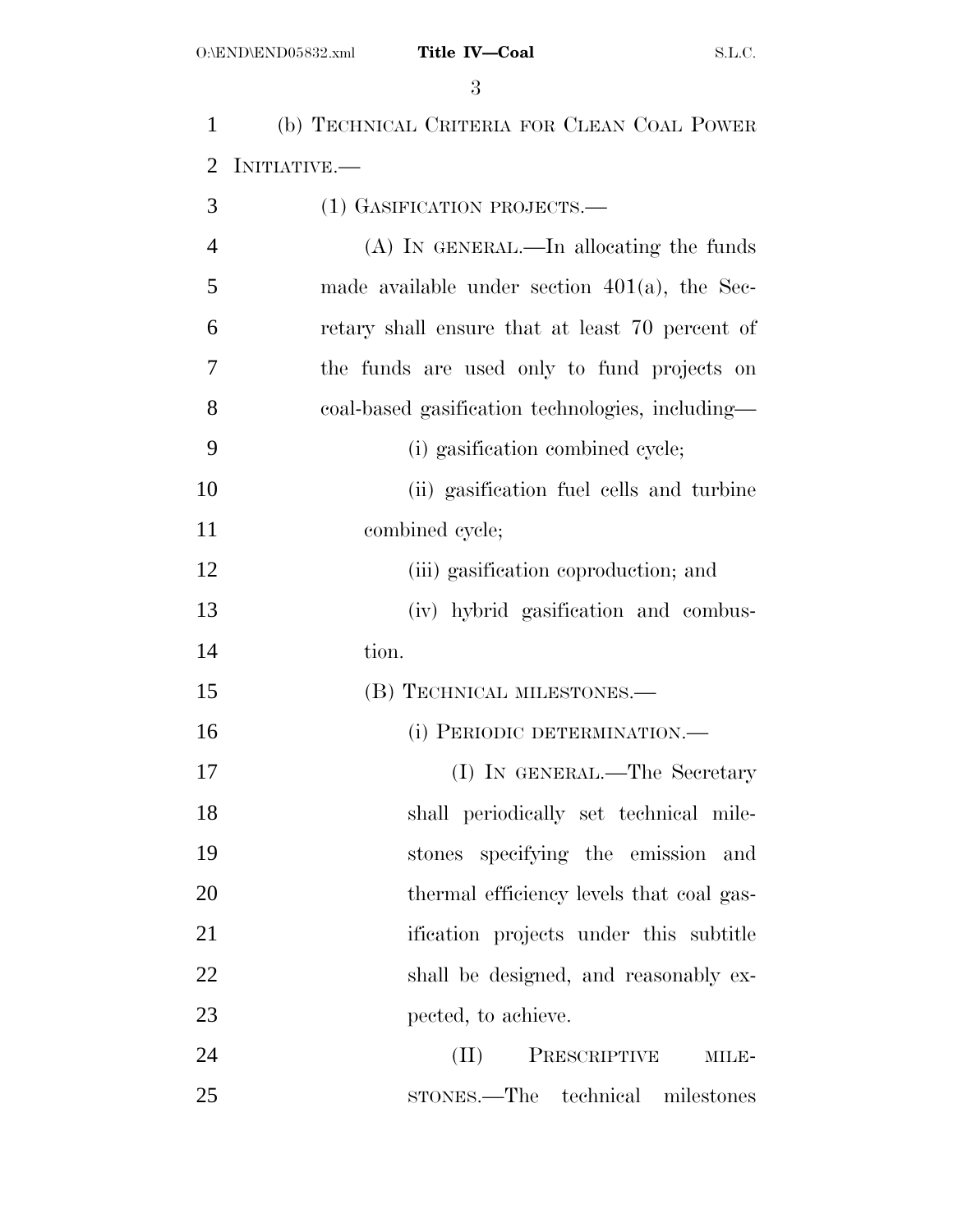| $\mathbf{1}$   | (b) TECHNICAL CRITERIA FOR CLEAN COAL POWER      |
|----------------|--------------------------------------------------|
| 2              | INITIATIVE.—                                     |
| 3              | (1) GASIFICATION PROJECTS.—                      |
| $\overline{4}$ | $(A)$ In GENERAL.—In allocating the funds        |
| 5              | made available under section $401(a)$ , the Sec- |
| 6              | retary shall ensure that at least 70 percent of  |
| 7              | the funds are used only to fund projects on      |
| 8              | coal-based gasification technologies, including— |
| 9              | (i) gasification combined cycle;                 |
| 10             | (ii) gasification fuel cells and turbine         |
| 11             | combined cycle;                                  |
| 12             | (iii) gasification coproduction; and             |
| 13             | (iv) hybrid gasification and combus-             |
| 14             | tion.                                            |
| 15             | (B) TECHNICAL MILESTONES.—                       |
| 16             | (i) PERIODIC DETERMINATION.-                     |
| 17             | (I) IN GENERAL.—The Secretary                    |
| 18             | shall periodically set technical mile-           |
| 19             | stones specifying the emission and               |
| 20             | thermal efficiency levels that coal gas-         |
| 21             | ification projects under this subtitle           |
| 22             | shall be designed, and reasonably ex-            |
| 23             | pected, to achieve.                              |
| 24             | (II)<br>PRESCRIPTIVE<br>MILE-                    |
| 25             | sTONES.—The technical milestones                 |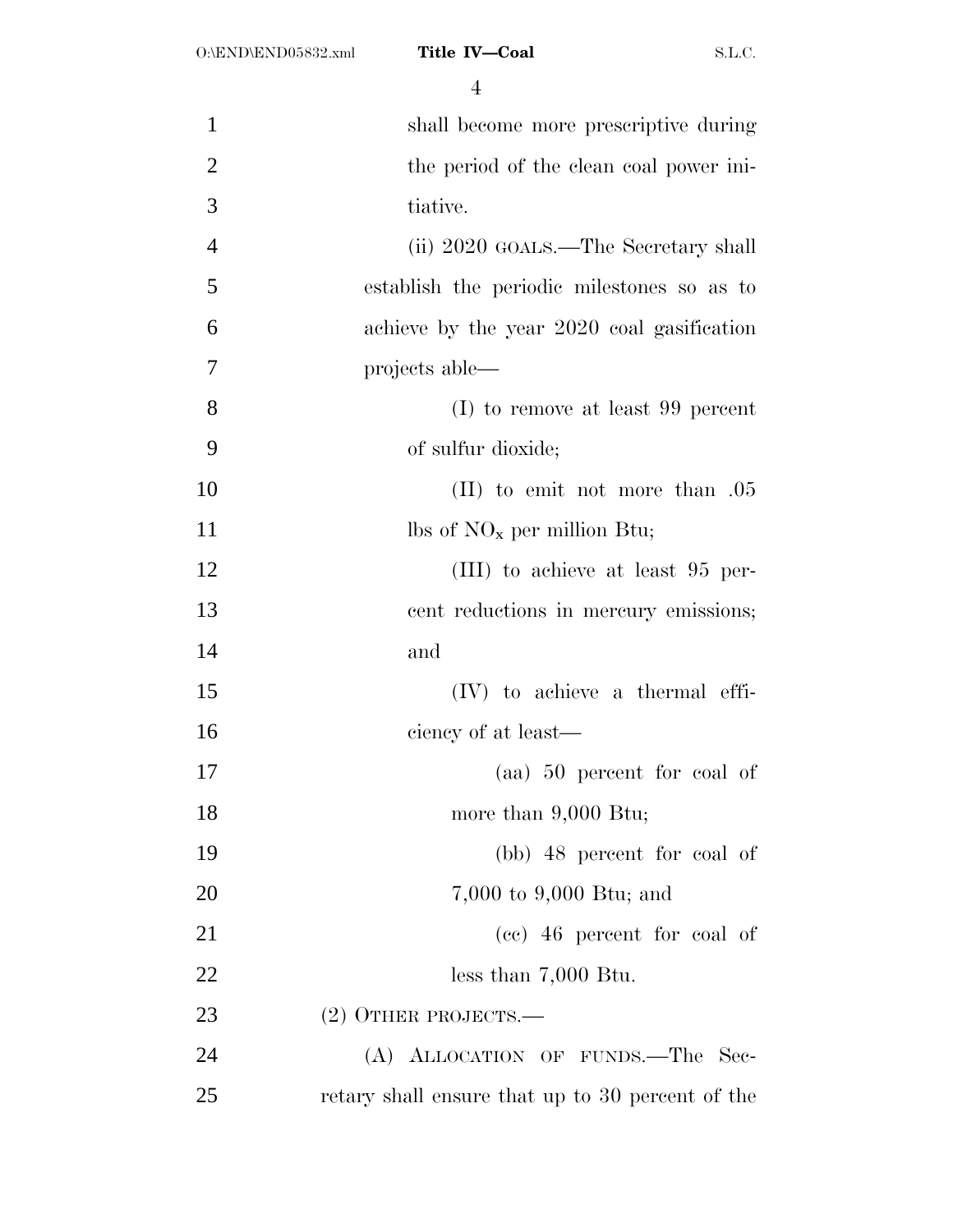| 1              | shall become more prescriptive during            |
|----------------|--------------------------------------------------|
| $\overline{2}$ | the period of the clean coal power ini-          |
| 3              | tiative.                                         |
| $\overline{4}$ | (ii) 2020 GOALS.—The Secretary shall             |
| 5              | establish the periodic milestones so as to       |
| 6              | achieve by the year 2020 coal gasification       |
| 7              | projects able—                                   |
| 8              | (I) to remove at least 99 percent                |
| 9              | of sulfur dioxide;                               |
| 10             | $(II)$ to emit not more than $.05$               |
| 11             | lbs of $NO_x$ per million Btu;                   |
| 12             | $(III)$ to achieve at least 95 per-              |
| 13             | cent reductions in mercury emissions;            |
| 14             | and                                              |
| 15             | $(IV)$ to achieve a thermal effi-                |
| 16             | ciency of at least—                              |
| 17             | (aa) 50 percent for coal of                      |
| 18             | more than $9,000$ Btu;                           |
| 19             | (bb) 48 percent for coal of                      |
| 20             | 7,000 to 9,000 Btu; and                          |
| 21             | (cc) 46 percent for coal of                      |
| 22             | less than $7,000$ Btu.                           |
| 23             | $(2)$ OTHER PROJECTS.—                           |
| 24             | (A) ALLOCATION OF FUNDS.—The Sec-                |
| 25             | retary shall ensure that up to 30 percent of the |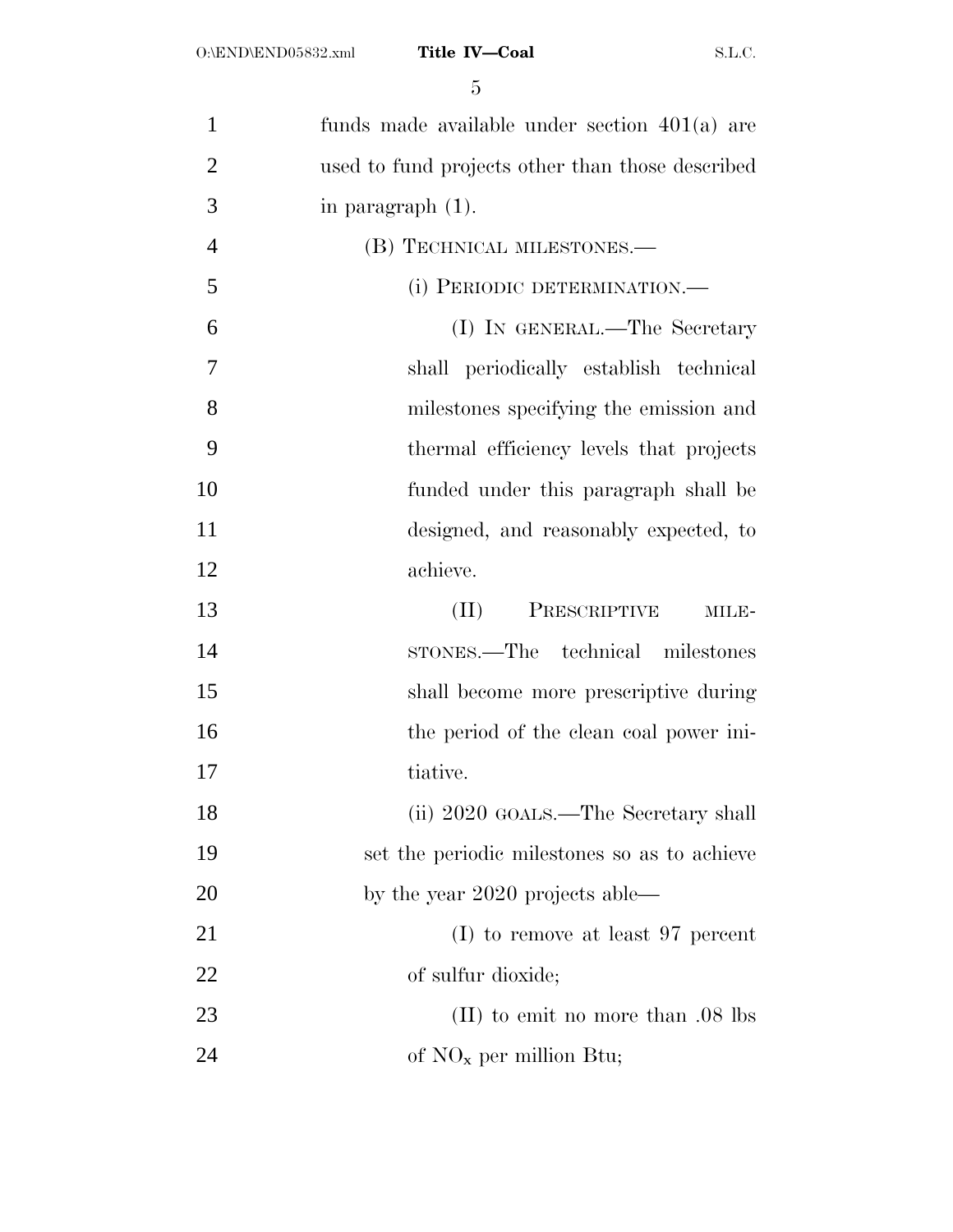| $\mathbf{1}$   | funds made available under section $401(a)$ are  |
|----------------|--------------------------------------------------|
| $\overline{2}$ | used to fund projects other than those described |
| 3              | in paragraph $(1)$ .                             |
| $\overline{4}$ | (B) TECHNICAL MILESTONES.—                       |
| 5              | (i) PERIODIC DETERMINATION.—                     |
| 6              | (I) IN GENERAL.—The Secretary                    |
| 7              | shall periodically establish technical           |
| 8              | milestones specifying the emission and           |
| 9              | thermal efficiency levels that projects          |
| 10             | funded under this paragraph shall be             |
| 11             | designed, and reasonably expected, to            |
| 12             | achieve.                                         |
| 13             | PRESCRIPTIVE<br>(II)<br>MILE-                    |
| 14             | STONES.—The technical milestones                 |
| 15             | shall become more prescriptive during            |
| 16             | the period of the clean coal power ini-          |
| 17             | tiative.                                         |
| 18             | (ii) 2020 GOALS.—The Secretary shall             |
| 19             | set the periodic milestones so as to achieve     |
| 20             | by the year $2020$ projects able—                |
| 21             | (I) to remove at least 97 percent                |
| 22             | of sulfur dioxide;                               |
| 23             | $(II)$ to emit no more than $.08$ lbs            |
| 24             |                                                  |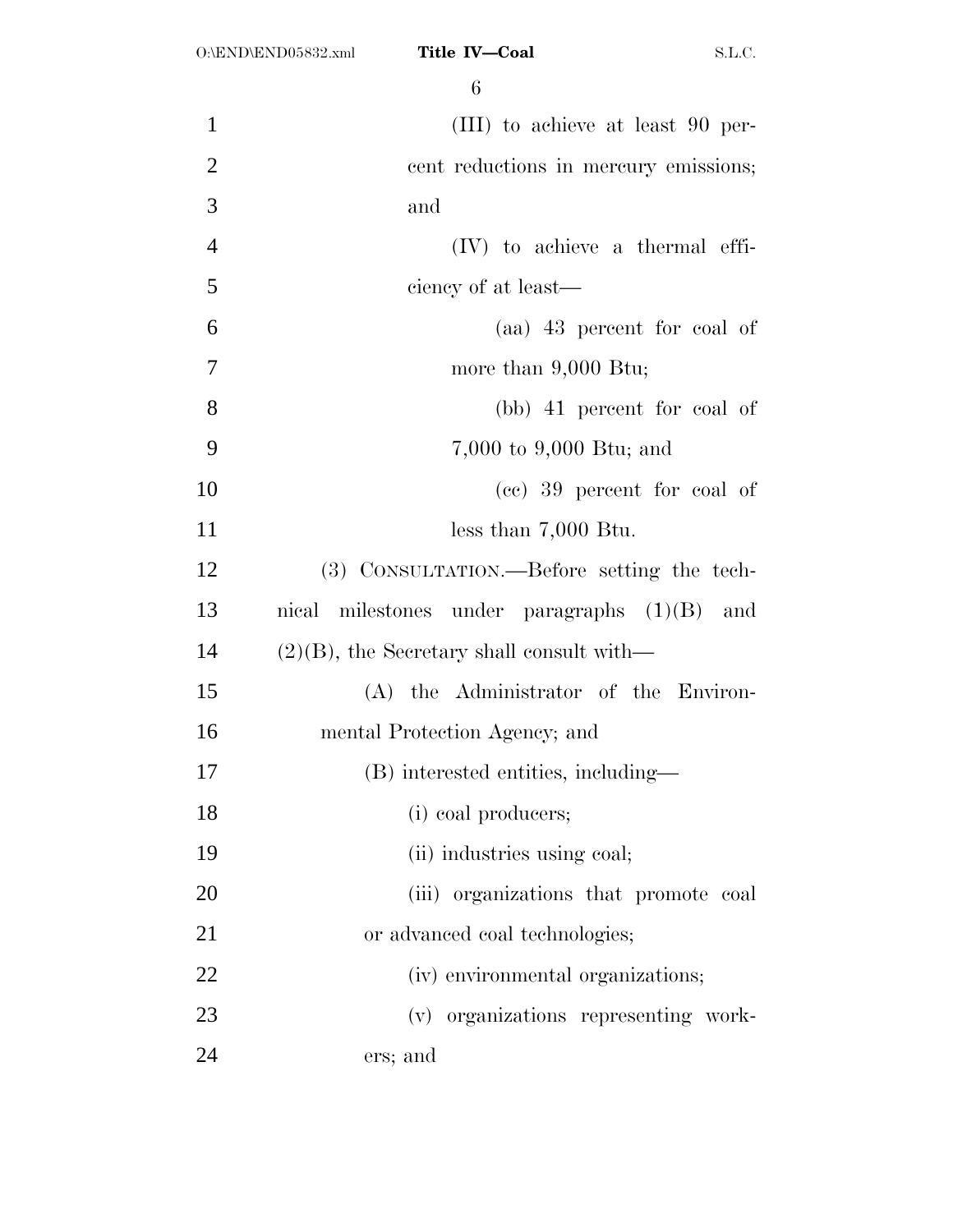| 1              | (III) to achieve at least 90 per-              |
|----------------|------------------------------------------------|
| $\overline{2}$ | cent reductions in mercury emissions;          |
| 3              | and                                            |
| $\overline{4}$ | $(IV)$ to achieve a thermal effi-              |
| 5              | ciency of at least—                            |
| 6              | (aa) 43 percent for coal of                    |
| 7              | more than $9,000$ Btu;                         |
| 8              | (bb) 41 percent for coal of                    |
| 9              | 7,000 to 9,000 Btu; and                        |
| 10             | (cc) 39 percent for coal of                    |
| 11             |                                                |
|                | less than $7,000$ Btu.                         |
| 12             | (3) CONSULTATION.—Before setting the tech-     |
| 13             | nical milestones under paragraphs $(1)(B)$ and |
| 14             | $(2)(B)$ , the Secretary shall consult with—   |
| 15             | (A) the Administrator of the Environ-          |
| 16             | mental Protection Agency; and                  |
| 17             | (B) interested entities, including—            |
| 18             | (i) coal producers;                            |
| 19             | (ii) industries using coal;                    |
| 20             | (iii) organizations that promote coal          |
| 21             | or advanced coal technologies;                 |
| 22             | (iv) environmental organizations;              |
| 23             | (v) organizations representing work-           |
|                |                                                |
| 24             | ers; and                                       |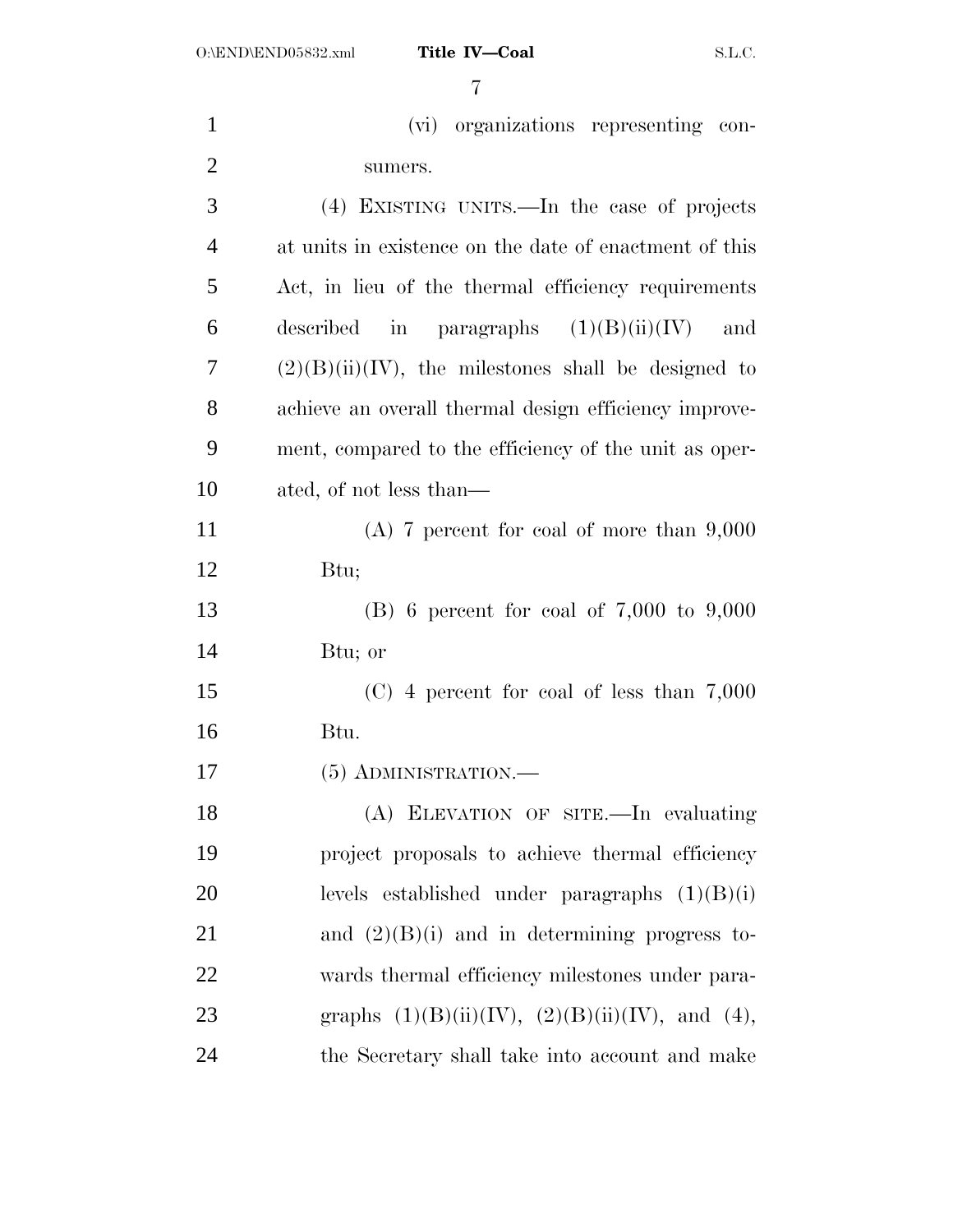| $\mathbf{1}$   | (vi) organizations representing con-                   |
|----------------|--------------------------------------------------------|
| $\overline{2}$ | sumers.                                                |
| 3              | (4) EXISTING UNITS.—In the case of projects            |
| $\overline{4}$ | at units in existence on the date of enactment of this |
| 5              | Act, in lieu of the thermal efficiency requirements    |
| 6              | described in paragraphs $(1)(B)(ii)(IV)$<br>and        |
| 7              | $(2)(B)(ii)(IV)$ , the milestones shall be designed to |
| 8              | achieve an overall thermal design efficiency improve-  |
| 9              | ment, compared to the efficiency of the unit as oper-  |
| 10             | ated, of not less than—                                |
| 11             | $(A)$ 7 percent for coal of more than 9,000            |
| 12             | Btu;                                                   |
| 13             | (B) 6 percent for coal of $7,000$ to $9,000$           |
| 14             | Btu; or                                                |
| 15             | $(C)$ 4 percent for coal of less than 7,000            |
| 16             | Btu.                                                   |
| 17             | $(5)$ ADMINISTRATION.—                                 |
| 18             | (A) ELEVATION OF SITE.-In evaluating                   |
| 19             | project proposals to achieve thermal efficiency        |
| 20             | levels established under paragraphs $(1)(B)(i)$        |
| 21             | and $(2)(B)(i)$ and in determining progress to-        |
| 22             | wards thermal efficiency milestones under para-        |
| 23             | graphs $(1)(B)(ii)(IV), (2)(B)(ii)(IV),$ and $(4),$    |
| 24             | the Secretary shall take into account and make         |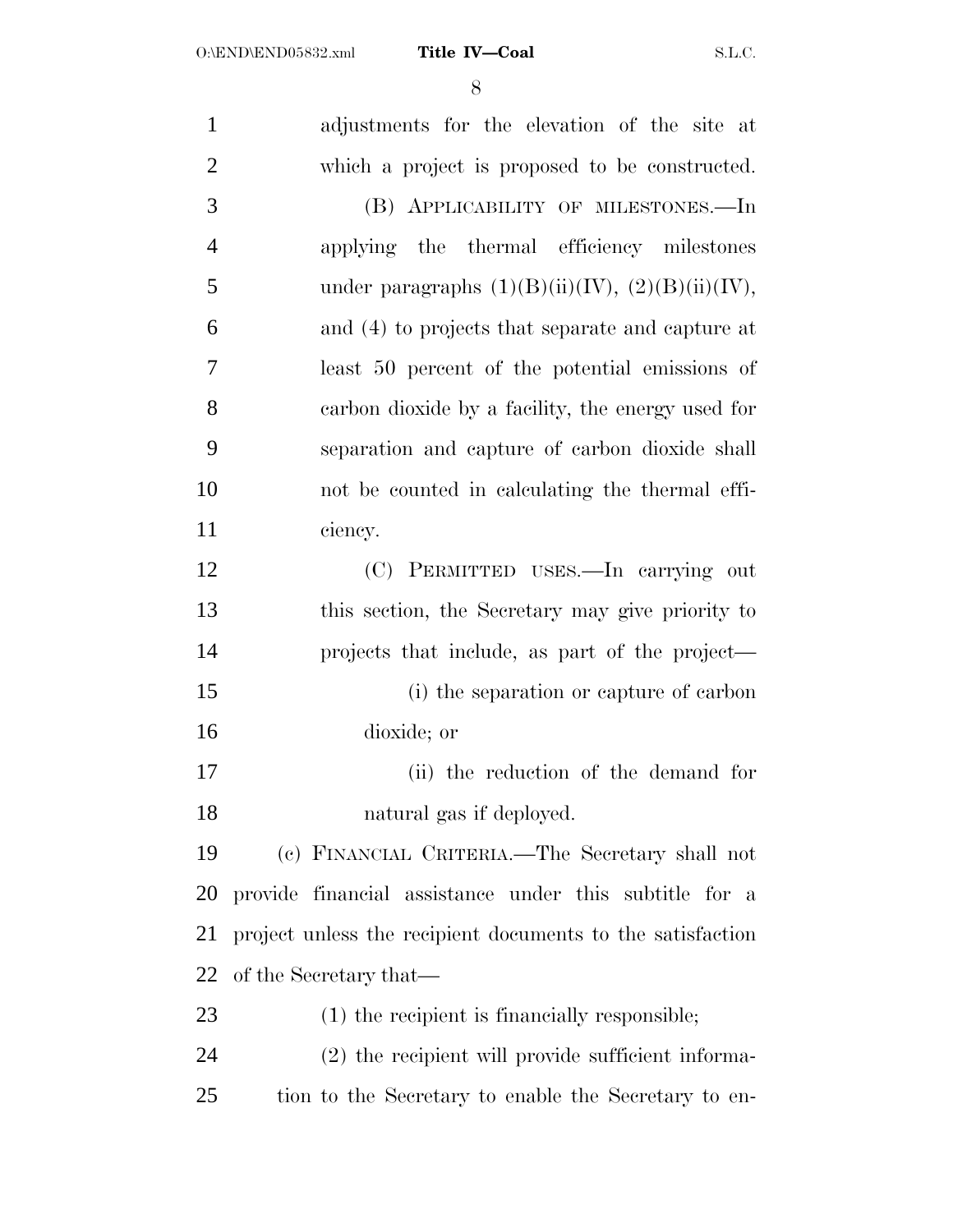| $\mathbf{1}$   | adjustments for the elevation of the site at               |
|----------------|------------------------------------------------------------|
| $\overline{2}$ | which a project is proposed to be constructed.             |
| 3              | (B) APPLICABILITY OF MILESTONES.-In                        |
| $\overline{4}$ | applying the thermal efficiency milestones                 |
| 5              | under paragraphs $(1)(B)(ii)(IV), (2)(B)(ii)(IV),$         |
| 6              | and (4) to projects that separate and capture at           |
| 7              | least 50 percent of the potential emissions of             |
| 8              | carbon dioxide by a facility, the energy used for          |
| 9              | separation and capture of carbon dioxide shall             |
| 10             | not be counted in calculating the thermal effi-            |
| 11             | ciency.                                                    |
| 12             | (C) PERMITTED USES.—In carrying out                        |
| 13             | this section, the Secretary may give priority to           |
| 14             | projects that include, as part of the project—             |
| 15             | (i) the separation or capture of carbon                    |
| 16             | dioxide; or                                                |
| 17             | (ii) the reduction of the demand for                       |
| 18             | natural gas if deployed.                                   |
| 19             | (c) FINANCIAL CRITERIA.—The Secretary shall not            |
| 20             | provide financial assistance under this subtitle for a     |
| 21             | project unless the recipient documents to the satisfaction |
| 22             | of the Secretary that—                                     |
| 23             | (1) the recipient is financially responsible;              |
| 24             | (2) the recipient will provide sufficient informa-         |
| 25             | tion to the Secretary to enable the Secretary to en-       |
|                |                                                            |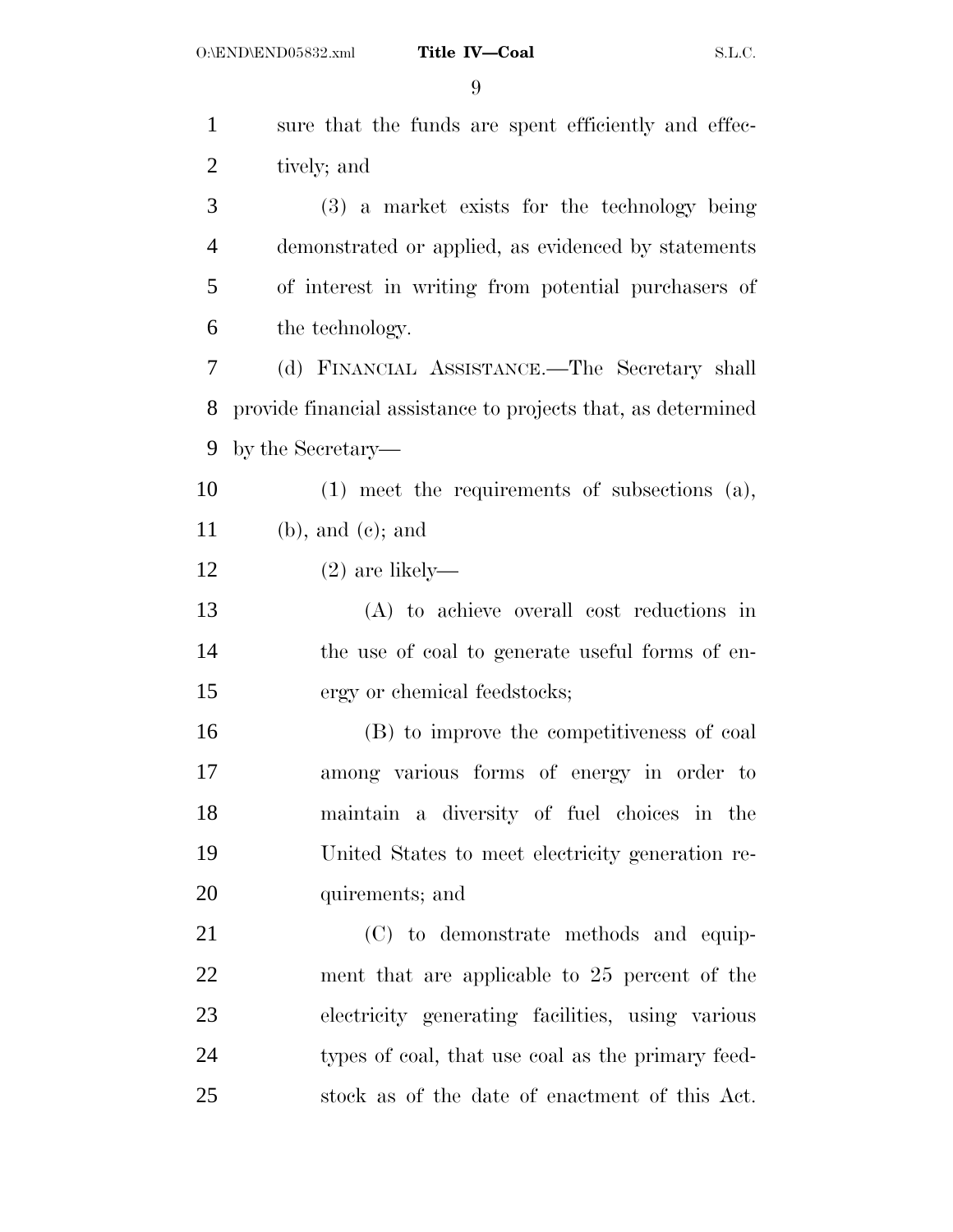| $\mathbf{1}$   | sure that the funds are spent efficiently and effec-         |
|----------------|--------------------------------------------------------------|
| $\overline{2}$ | tively; and                                                  |
| 3              | (3) a market exists for the technology being                 |
| $\overline{4}$ | demonstrated or applied, as evidenced by statements          |
| 5              | of interest in writing from potential purchasers of          |
| 6              | the technology.                                              |
| 7              | (d) FINANCIAL ASSISTANCE.—The Secretary shall                |
| 8              | provide financial assistance to projects that, as determined |
| 9              | by the Secretary-                                            |
| 10             | $(1)$ meet the requirements of subsections $(a)$ ,           |
| 11             | $(b)$ , and $(c)$ ; and                                      |
| 12             | $(2)$ are likely—                                            |
| 13             | (A) to achieve overall cost reductions in                    |
| 14             | the use of coal to generate useful forms of en-              |
| 15             | ergy or chemical feedstocks;                                 |
| 16             | (B) to improve the competitiveness of coal                   |
| 17             | among various forms of energy in order to                    |
| 18             | maintain a diversity of fuel choices in the                  |
| 19             | United States to meet electricity generation re-             |
| 20             | quirements; and                                              |
| 21             | (C) to demonstrate methods and equip-                        |
| 22             | ment that are applicable to 25 percent of the                |
| 23             | electricity generating facilities, using various             |
| 24             | types of coal, that use coal as the primary feed-            |
| 25             | stock as of the date of enactment of this Act.               |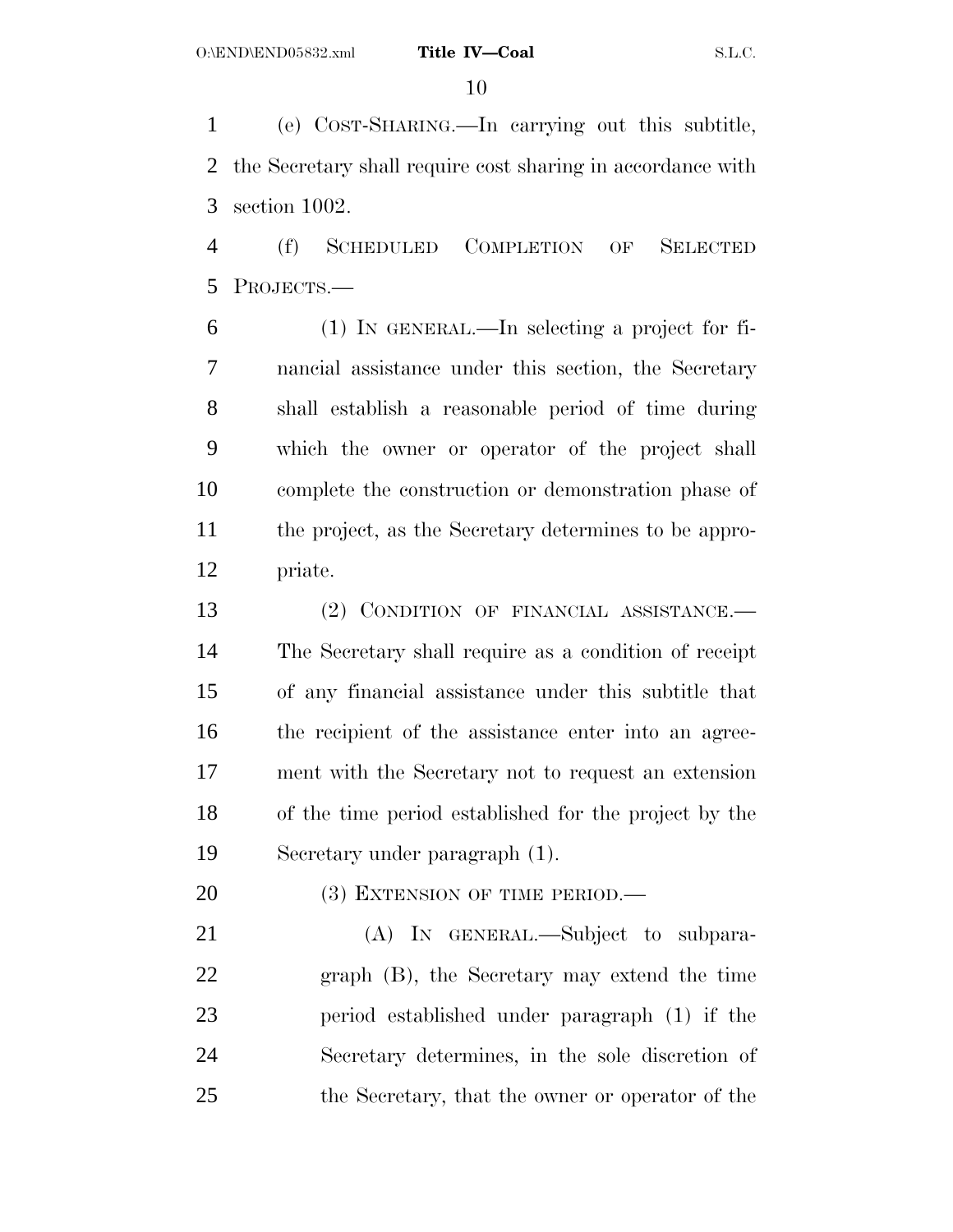(e) COST-SHARING.—In carrying out this subtitle, the Secretary shall require cost sharing in accordance with section 1002.

 (f) SCHEDULED COMPLETION OF SELECTED PROJECTS.—

 (1) IN GENERAL.—In selecting a project for fi- nancial assistance under this section, the Secretary shall establish a reasonable period of time during which the owner or operator of the project shall complete the construction or demonstration phase of the project, as the Secretary determines to be appro-priate.

13 (2) CONDITION OF FINANCIAL ASSISTANCE. The Secretary shall require as a condition of receipt of any financial assistance under this subtitle that the recipient of the assistance enter into an agree- ment with the Secretary not to request an extension of the time period established for the project by the Secretary under paragraph (1).

20 (3) EXTENSION OF TIME PERIOD.—

 (A) IN GENERAL.—Subject to subpara- graph (B), the Secretary may extend the time period established under paragraph (1) if the Secretary determines, in the sole discretion of the Secretary, that the owner or operator of the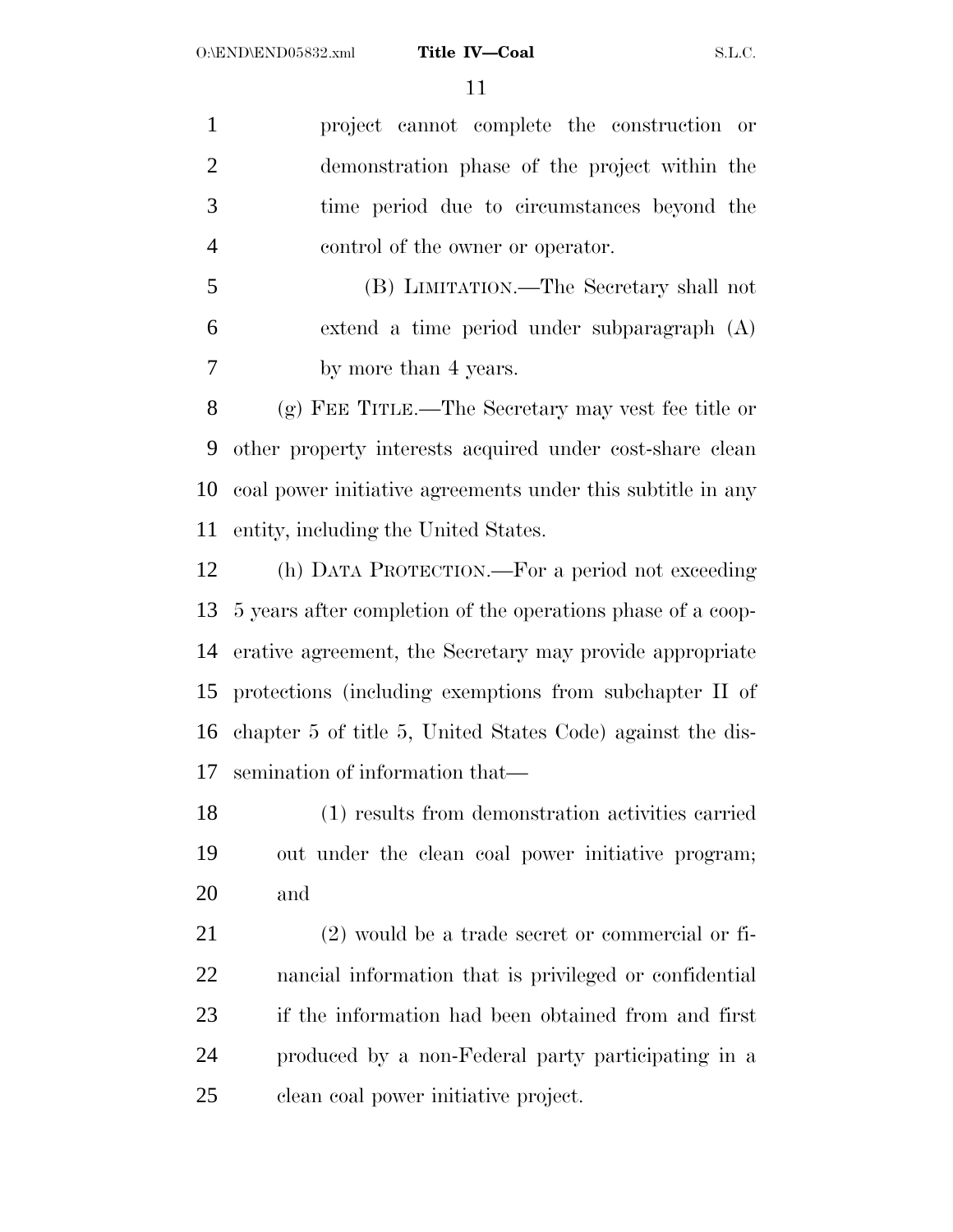project cannot complete the construction or demonstration phase of the project within the time period due to circumstances beyond the control of the owner or operator.

 (B) LIMITATION.—The Secretary shall not extend a time period under subparagraph (A) by more than 4 years.

 (g) FEE TITLE.—The Secretary may vest fee title or other property interests acquired under cost-share clean coal power initiative agreements under this subtitle in any entity, including the United States.

 (h) DATA PROTECTION.—For a period not exceeding 5 years after completion of the operations phase of a coop- erative agreement, the Secretary may provide appropriate protections (including exemptions from subchapter II of chapter 5 of title 5, United States Code) against the dis-semination of information that—

 (1) results from demonstration activities carried out under the clean coal power initiative program; and

 (2) would be a trade secret or commercial or fi- nancial information that is privileged or confidential if the information had been obtained from and first produced by a non-Federal party participating in a clean coal power initiative project.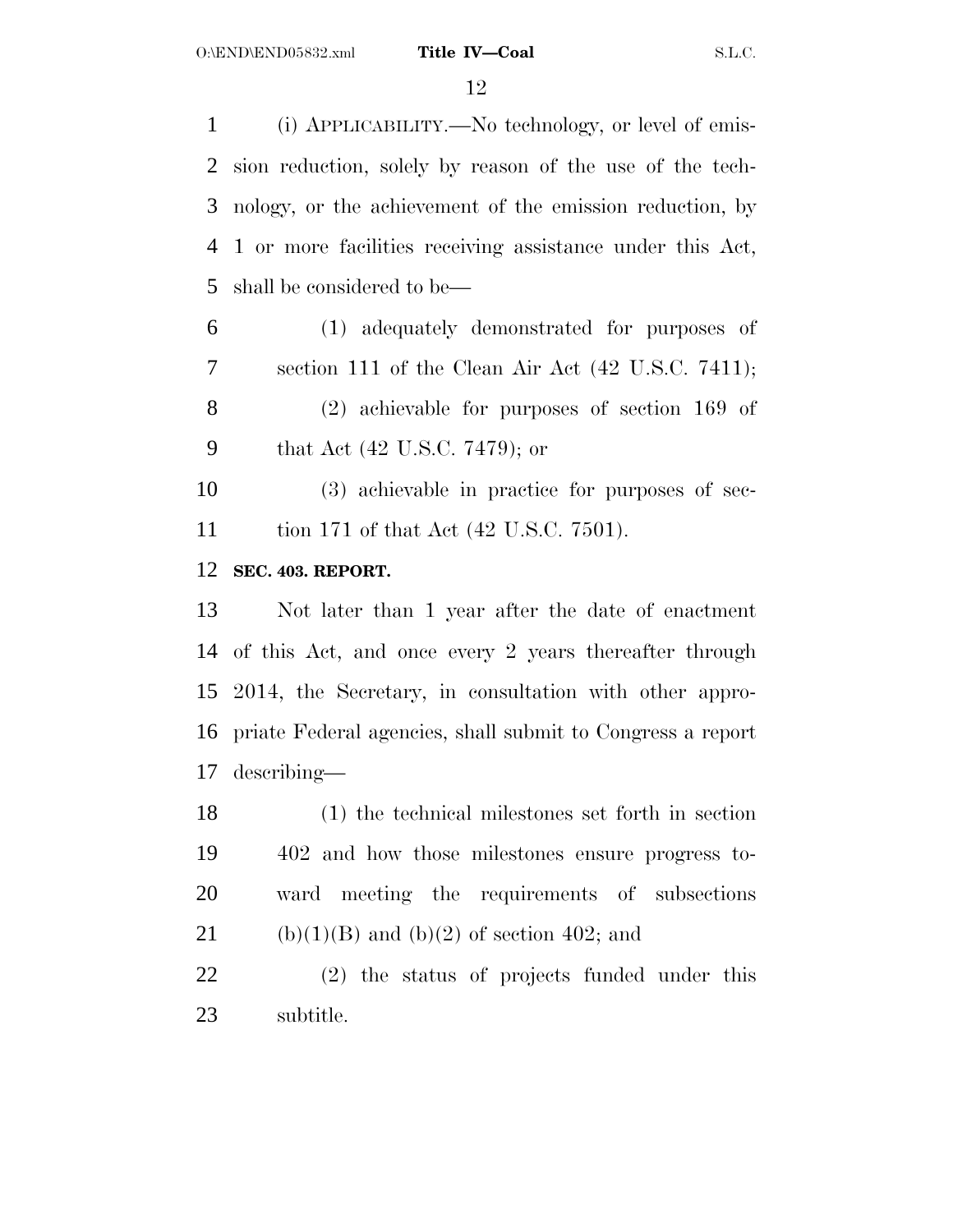(i) APPLICABILITY.—No technology, or level of emis- sion reduction, solely by reason of the use of the tech- nology, or the achievement of the emission reduction, by 1 or more facilities receiving assistance under this Act, shall be considered to be—

 (1) adequately demonstrated for purposes of section 111 of the Clean Air Act (42 U.S.C. 7411); (2) achievable for purposes of section 169 of that Act (42 U.S.C. 7479); or

 (3) achievable in practice for purposes of sec-tion 171 of that Act (42 U.S.C. 7501).

## **SEC. 403. REPORT.**

 Not later than 1 year after the date of enactment of this Act, and once every 2 years thereafter through 2014, the Secretary, in consultation with other appro- priate Federal agencies, shall submit to Congress a report describing—

 (1) the technical milestones set forth in section 402 and how those milestones ensure progress to- ward meeting the requirements of subsections 21 (b)(1)(B) and (b)(2) of section 402; and

 (2) the status of projects funded under this subtitle.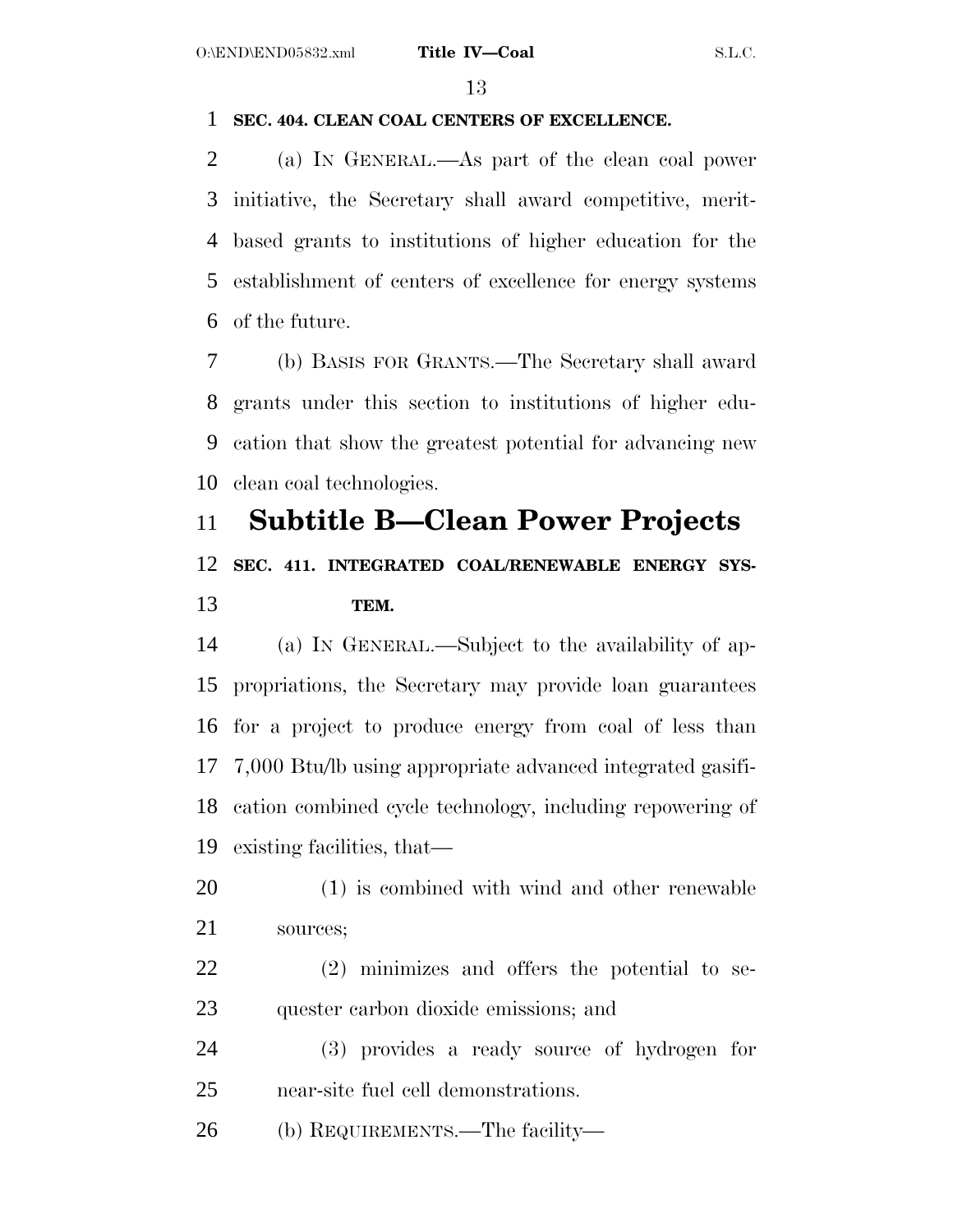## **SEC. 404. CLEAN COAL CENTERS OF EXCELLENCE.**

 (a) IN GENERAL.—As part of the clean coal power initiative, the Secretary shall award competitive, merit- based grants to institutions of higher education for the establishment of centers of excellence for energy systems of the future.

 (b) BASIS FOR GRANTS.—The Secretary shall award grants under this section to institutions of higher edu- cation that show the greatest potential for advancing new clean coal technologies.

# **Subtitle B—Clean Power Projects**

## **SEC. 411. INTEGRATED COAL/RENEWABLE ENERGY SYS-TEM.**

 (a) IN GENERAL.—Subject to the availability of ap- propriations, the Secretary may provide loan guarantees for a project to produce energy from coal of less than 7,000 Btu/lb using appropriate advanced integrated gasifi- cation combined cycle technology, including repowering of existing facilities, that—

- (1) is combined with wind and other renewable sources;
- (2) minimizes and offers the potential to se-quester carbon dioxide emissions; and
- (3) provides a ready source of hydrogen for near-site fuel cell demonstrations.

(b) REQUIREMENTS.—The facility—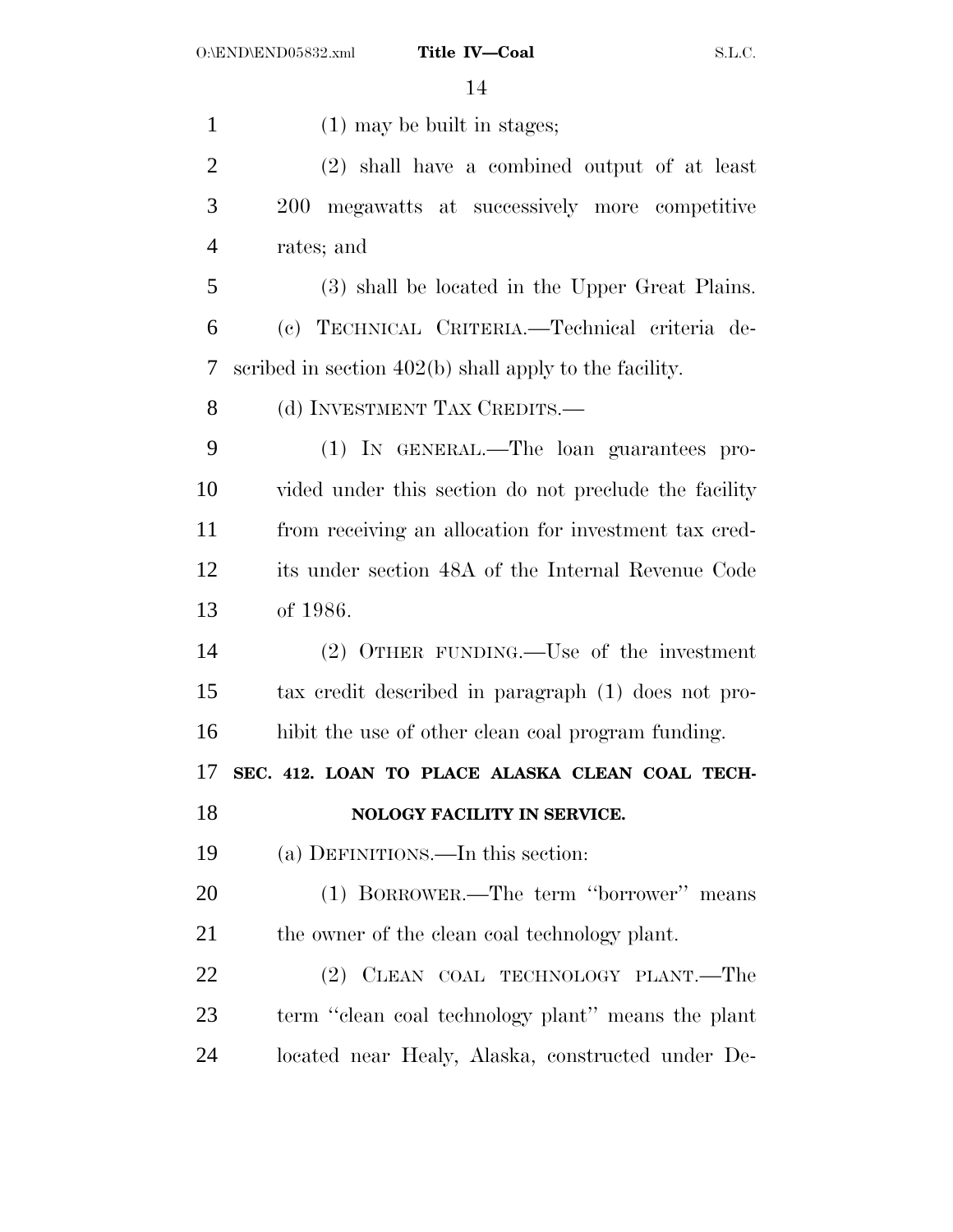1 (1) may be built in stages; (2) shall have a combined output of at least 200 megawatts at successively more competitive rates; and (3) shall be located in the Upper Great Plains. (c) TECHNICAL CRITERIA.—Technical criteria de- scribed in section 402(b) shall apply to the facility. 8 (d) INVESTMENT TAX CREDITS.— (1) IN GENERAL.—The loan guarantees pro- vided under this section do not preclude the facility from receiving an allocation for investment tax cred- its under section 48A of the Internal Revenue Code of 1986. (2) OTHER FUNDING.—Use of the investment tax credit described in paragraph (1) does not pro- hibit the use of other clean coal program funding. **SEC. 412. LOAN TO PLACE ALASKA CLEAN COAL TECH- NOLOGY FACILITY IN SERVICE.**  (a) DEFINITIONS.—In this section: (1) BORROWER.—The term ''borrower'' means 21 the owner of the clean coal technology plant. (2) CLEAN COAL TECHNOLOGY PLANT.—The term ''clean coal technology plant'' means the plant located near Healy, Alaska, constructed under De-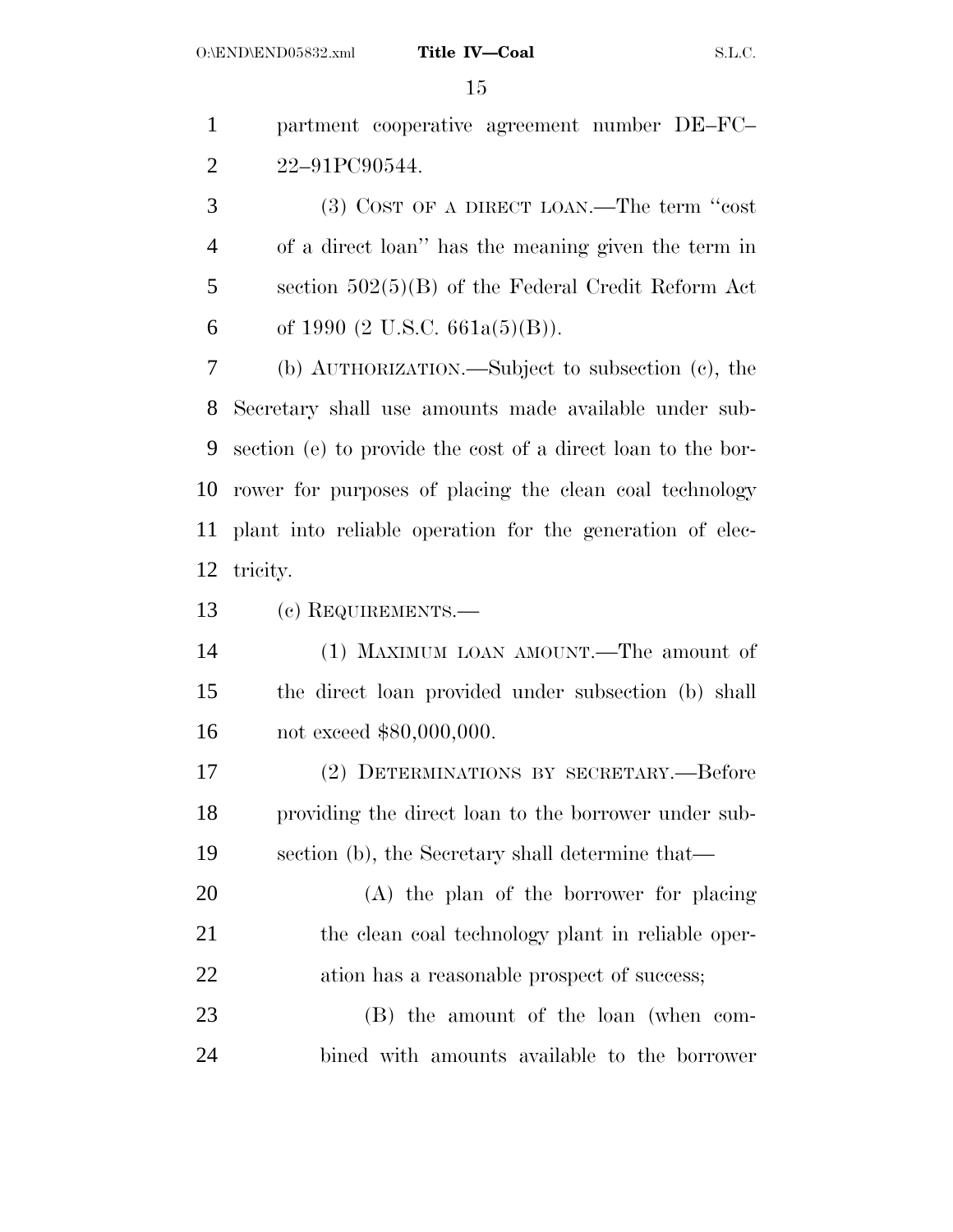partment cooperative agreement number DE–FC– 22–91PC90544.

 (3) COST OF A DIRECT LOAN.—The term ''cost of a direct loan'' has the meaning given the term in section 502(5)(B) of the Federal Credit Reform Act 6 of 1990 (2 U.S.C. 661a(5)(B)).

 (b) AUTHORIZATION.—Subject to subsection (c), the Secretary shall use amounts made available under sub- section (e) to provide the cost of a direct loan to the bor- rower for purposes of placing the clean coal technology plant into reliable operation for the generation of elec-tricity.

(c) REQUIREMENTS.—

 (1) MAXIMUM LOAN AMOUNT.—The amount of the direct loan provided under subsection (b) shall not exceed \$80,000,000.

 (2) DETERMINATIONS BY SECRETARY.—Before providing the direct loan to the borrower under sub-section (b), the Secretary shall determine that—

 (A) the plan of the borrower for placing 21 the clean coal technology plant in reliable oper-22 ation has a reasonable prospect of success;

 (B) the amount of the loan (when com-bined with amounts available to the borrower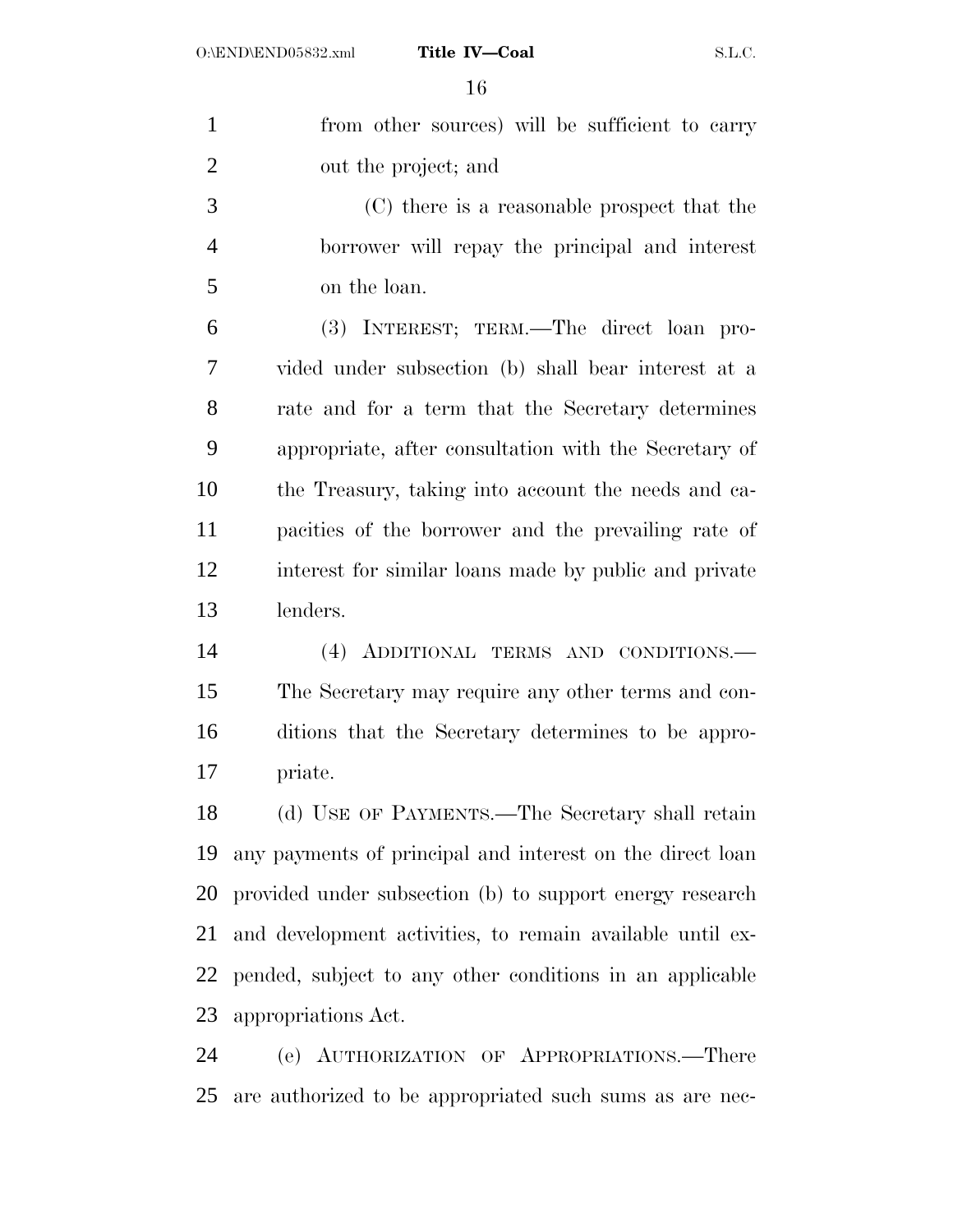| $\mathbf{1}$   | from other sources) will be sufficient to carry           |
|----------------|-----------------------------------------------------------|
| $\overline{2}$ | out the project; and                                      |
| 3              | (C) there is a reasonable prospect that the               |
| $\overline{4}$ | borrower will repay the principal and interest            |
| 5              | on the loan.                                              |
| 6              | (3) INTEREST; TERM.—The direct loan pro-                  |
| 7              | vided under subsection (b) shall bear interest at a       |
| 8              | rate and for a term that the Secretary determines         |
| 9              | appropriate, after consultation with the Secretary of     |
| 10             | the Treasury, taking into account the needs and ca-       |
| 11             | pacities of the borrower and the prevailing rate of       |
| 12             | interest for similar loans made by public and private     |
| 13             | lenders.                                                  |
| 14             | (4) ADDITIONAL TERMS AND CONDITIONS.-                     |
| 15             | The Secretary may require any other terms and con-        |
| 16             | ditions that the Secretary determines to be appro-        |
| 17             | priate.                                                   |
| 18             | (d) USE OF PAYMENTS.—The Secretary shall retain           |
| 19             | any payments of principal and interest on the direct loan |
| 20             | provided under subsection (b) to support energy research  |
| 21             | and development activities, to remain available until ex- |
| 22             | pended, subject to any other conditions in an applicable  |
| 23             | appropriations Act.                                       |
| 24             | (e) AUTHORIZATION OF APPROPRIATIONS.-There                |
| 25             | are authorized to be appropriated such sums as are nec-   |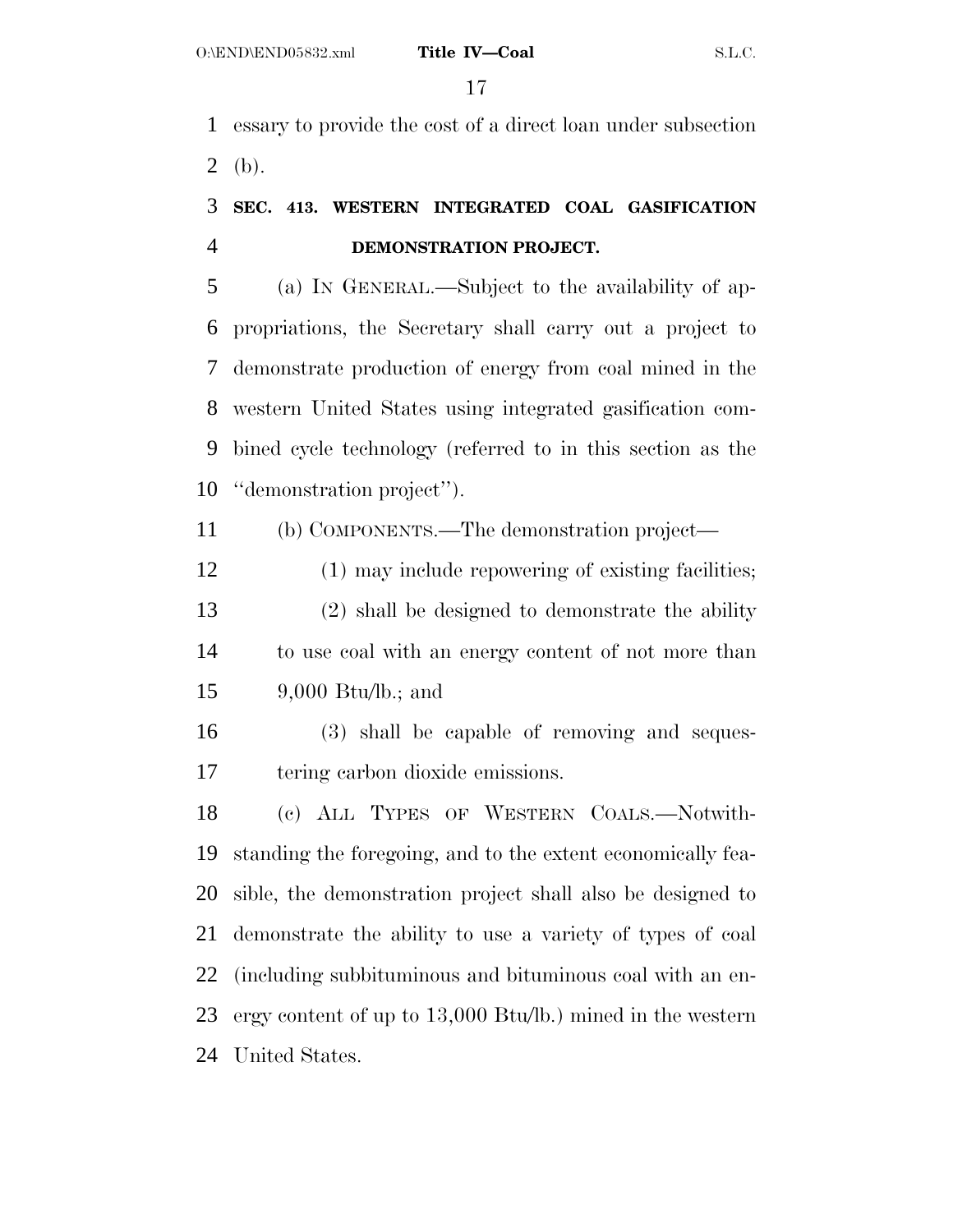essary to provide the cost of a direct loan under subsection 2 (b).

## **SEC. 413. WESTERN INTEGRATED COAL GASIFICATION DEMONSTRATION PROJECT.**

 (a) IN GENERAL.—Subject to the availability of ap- propriations, the Secretary shall carry out a project to demonstrate production of energy from coal mined in the western United States using integrated gasification com- bined cycle technology (referred to in this section as the ''demonstration project'').

(b) COMPONENTS.—The demonstration project—

12 (1) may include repowering of existing facilities; (2) shall be designed to demonstrate the ability to use coal with an energy content of not more than 9,000 Btu/lb.; and

 (3) shall be capable of removing and seques-tering carbon dioxide emissions.

 (c) ALL TYPES OF WESTERN COALS.—Notwith- standing the foregoing, and to the extent economically fea- sible, the demonstration project shall also be designed to demonstrate the ability to use a variety of types of coal (including subbituminous and bituminous coal with an en- ergy content of up to 13,000 Btu/lb.) mined in the western United States.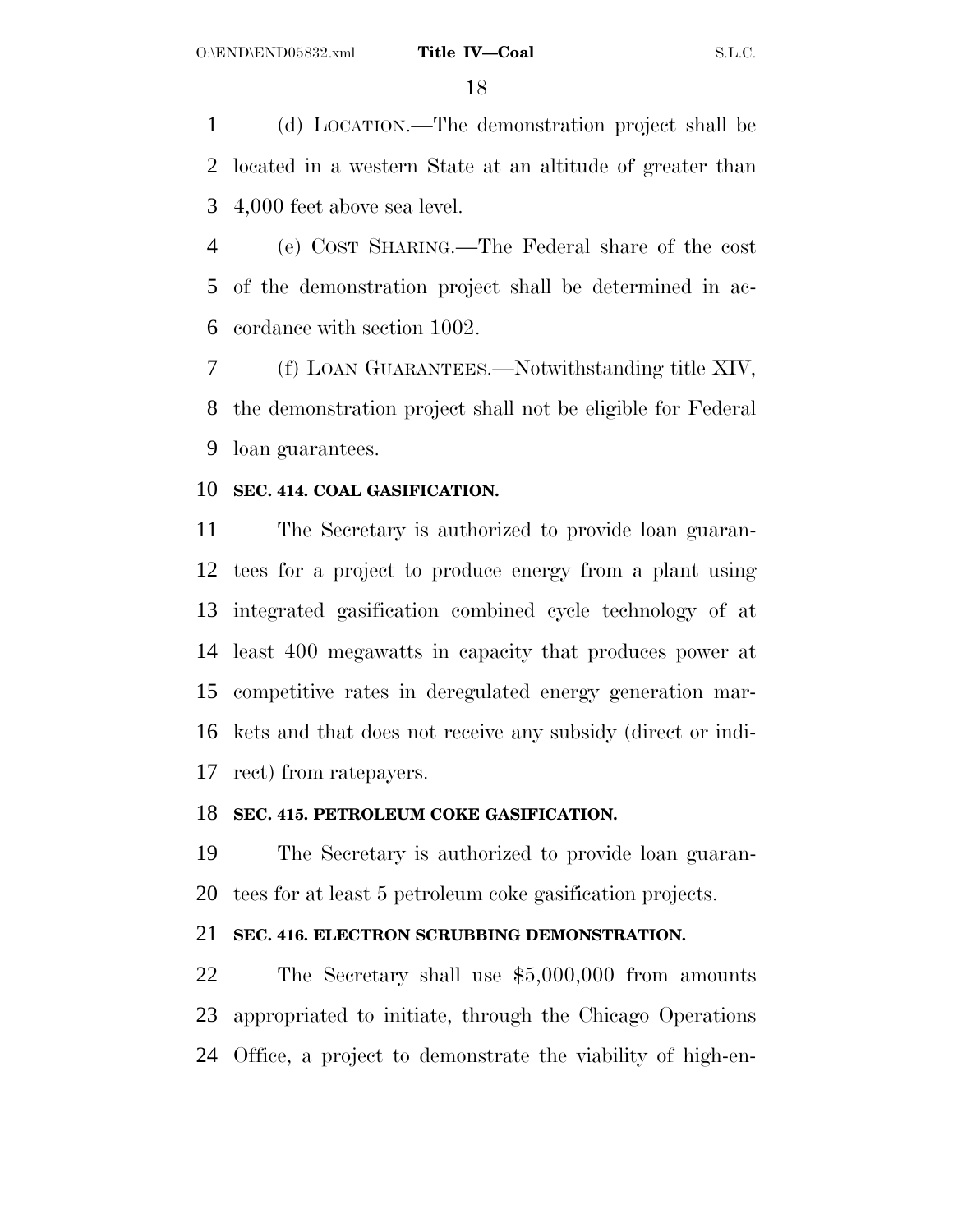(d) LOCATION.—The demonstration project shall be located in a western State at an altitude of greater than 4,000 feet above sea level.

 (e) COST SHARING.—The Federal share of the cost of the demonstration project shall be determined in ac-cordance with section 1002.

 (f) LOAN GUARANTEES.—Notwithstanding title XIV, the demonstration project shall not be eligible for Federal loan guarantees.

## **SEC. 414. COAL GASIFICATION.**

 The Secretary is authorized to provide loan guaran- tees for a project to produce energy from a plant using integrated gasification combined cycle technology of at least 400 megawatts in capacity that produces power at competitive rates in deregulated energy generation mar- kets and that does not receive any subsidy (direct or indi-rect) from ratepayers.

## **SEC. 415. PETROLEUM COKE GASIFICATION.**

 The Secretary is authorized to provide loan guaran-tees for at least 5 petroleum coke gasification projects.

## **SEC. 416. ELECTRON SCRUBBING DEMONSTRATION.**

 The Secretary shall use \$5,000,000 from amounts appropriated to initiate, through the Chicago Operations Office, a project to demonstrate the viability of high-en-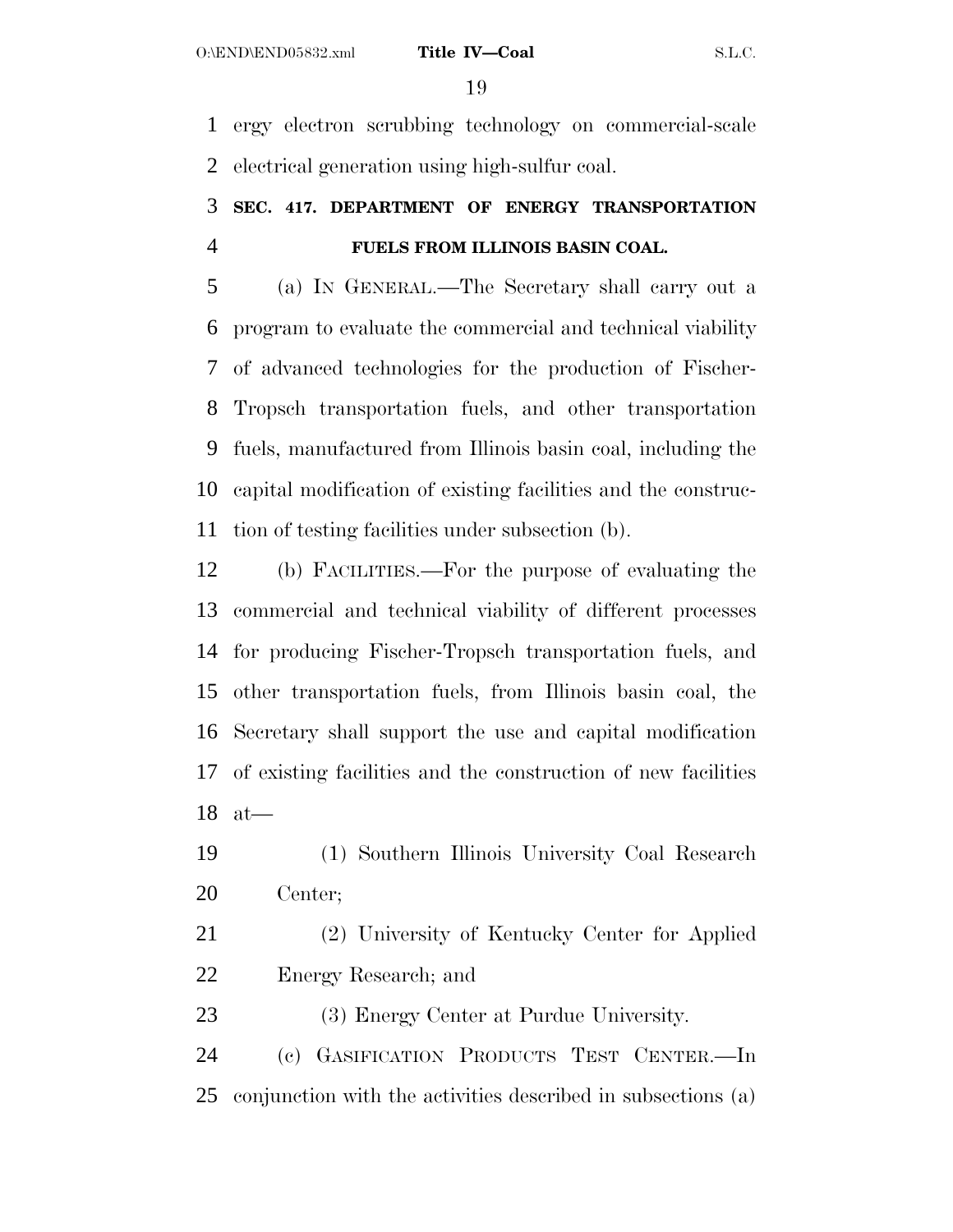ergy electron scrubbing technology on commercial-scale electrical generation using high-sulfur coal.

## **SEC. 417. DEPARTMENT OF ENERGY TRANSPORTATION FUELS FROM ILLINOIS BASIN COAL.**

 (a) IN GENERAL.—The Secretary shall carry out a program to evaluate the commercial and technical viability of advanced technologies for the production of Fischer- Tropsch transportation fuels, and other transportation fuels, manufactured from Illinois basin coal, including the capital modification of existing facilities and the construc-tion of testing facilities under subsection (b).

 (b) FACILITIES.—For the purpose of evaluating the commercial and technical viability of different processes for producing Fischer-Tropsch transportation fuels, and other transportation fuels, from Illinois basin coal, the Secretary shall support the use and capital modification of existing facilities and the construction of new facilities at—

 (1) Southern Illinois University Coal Research Center;

 (2) University of Kentucky Center for Applied Energy Research; and

(3) Energy Center at Purdue University.

 (c) GASIFICATION PRODUCTS TEST CENTER.—In conjunction with the activities described in subsections (a)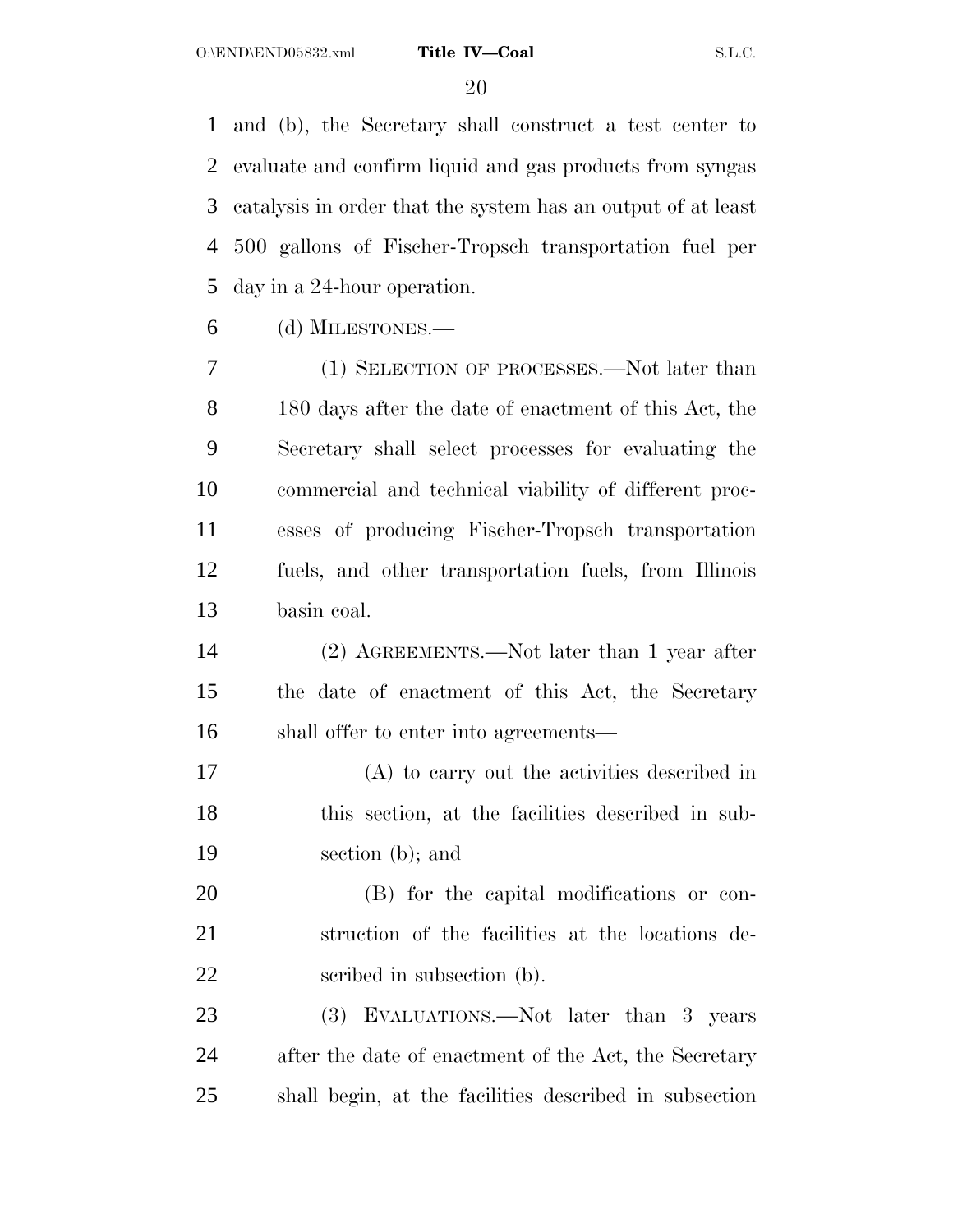and (b), the Secretary shall construct a test center to evaluate and confirm liquid and gas products from syngas catalysis in order that the system has an output of at least 500 gallons of Fischer-Tropsch transportation fuel per day in a 24-hour operation.

(d) MILESTONES.—

 (1) SELECTION OF PROCESSES.—Not later than 180 days after the date of enactment of this Act, the Secretary shall select processes for evaluating the commercial and technical viability of different proc- esses of producing Fischer-Tropsch transportation fuels, and other transportation fuels, from Illinois basin coal.

 (2) AGREEMENTS.—Not later than 1 year after the date of enactment of this Act, the Secretary shall offer to enter into agreements—

 (A) to carry out the activities described in this section, at the facilities described in sub-section (b); and

 (B) for the capital modifications or con- struction of the facilities at the locations de-22 seribed in subsection (b).

 (3) EVALUATIONS.—Not later than 3 years after the date of enactment of the Act, the Secretary shall begin, at the facilities described in subsection